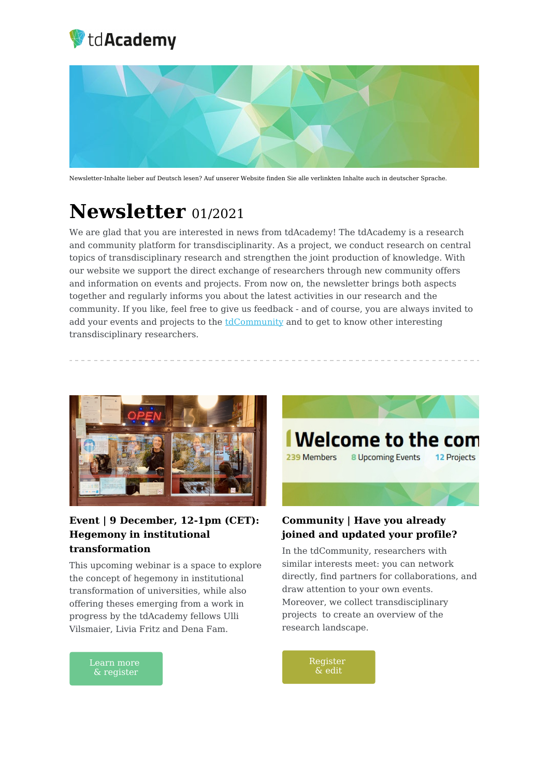



Newsletter-Inhalte lieber auf Deutsch lesen? Auf unserer Website finden Sie alle verlinkten Inhalte auch in deutscher Sprache.

## **Newsletter** 01/2021

We are glad that you are interested in news from tdAcademy! The tdAcademy is a research and community platform for transdisciplinarity. As a project, we conduct research on central topics of transdisciplinary research and strengthen the joint production of knowledge. With our website we support the direct exchange of researchers through new community offers and information on events and projects. From now on, the newsletter brings both aspects together and regularly informs you about the latest activities in our research and the community. If you like, feel free to give us feedback - and of course, you are always invited to add your events and projects to the [tdCommunity](https://td-academy.org/en/tdcommunity/) and to get to know other interesting transdisciplinary researchers.



### **Event | 9 December, 12-1pm (CET): Hegemony in institutional transformation**

This upcoming webinar is a space to explore the concept of hegemony in institutional transformation of universities, while also offering theses emerging from a work in progress by the tdAcademy fellows Ulli Vilsmaier, Livia Fritz and Dena Fam.



### **Community | Have you already joined and updated your profile?**

In the tdCommunity, researchers with similar interests meet: you can network directly, find partners for collaborations, and draw attention to your own events. Moreover, we collect transdisciplinary projects to create an overview of the research landscape.

Learn more & [register](https://td-academy.org/en/tdevents/hegemony-in-institutional-transformation-theses-for-discussion-from-a-work-in-progress/)

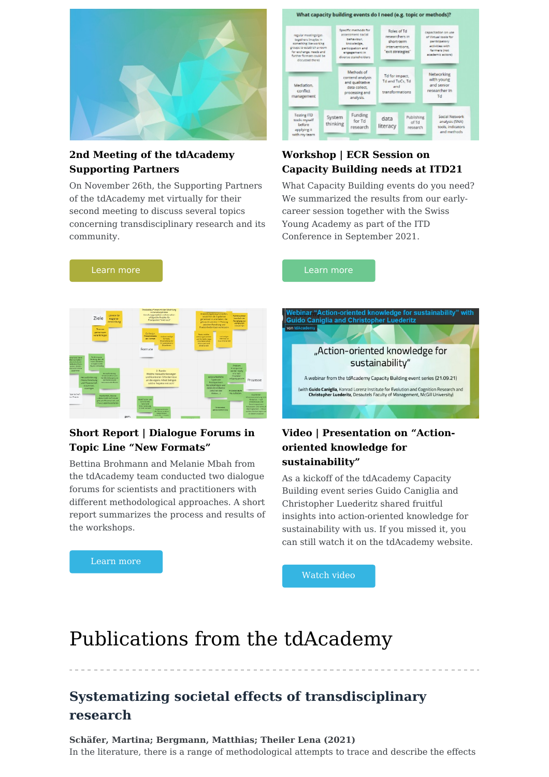

### **2nd Meeting of the tdAcademy Supporting Partners**

[Learn](https://td-academy.org/en/updates/2nd-meeting-of-the-tdacademy-supporting-partners/) more

On November 26th, the Supporting Partners of the tdAcademy met virtually for their second meeting to discuss several topics concerning transdisciplinary research and its community.



### **Workshop | ECR Session on Capacity Building needs at ITD21**

What Capacity Building events do you need? We summarized the results from our earlycareer session together with the Swiss Young Academy as part of the ITD Conference in September 2021.

[Learn](https://td-academy.org/en/updates/workshop-summary-ecr-session-on-capacity-building-needs-at-itd21/) more



### **Short Report | Dialogue Forums in Topic Line "New Formats"**

Bettina Brohmann and Melanie Mbah from the tdAcademy team conducted two dialogue forums for scientists and practitioners with different methodological approaches. A short report summarizes the process and results of the workshops.



#### **Video | Presentation on "Actionoriented knowledge for sustainability"**

As a kickoff of the tdAcademy Capacity Building event series Guido Caniglia and Christopher Luederitz shared fruitful insights into action-oriented knowledge for sustainability with us. If you missed it, you can still watch it on the tdAcademy website.

[Learn](https://td-academy.org/en/updates/short-report-dialogue-forums-in-topic-line-4/) more

[Watch](https://td-academy.org/en/updates/video-presentation-on-action-oriented-knowledge-for-sustainability/) video

# Publications from the tdAcademy

### **Systematizing societal effects of transdisciplinary research**

**Schäfer, Martina; Bergmann, Matthias; Theiler Lena (2021)** In the literature, there is a range of methodological attempts to trace and describe the effects